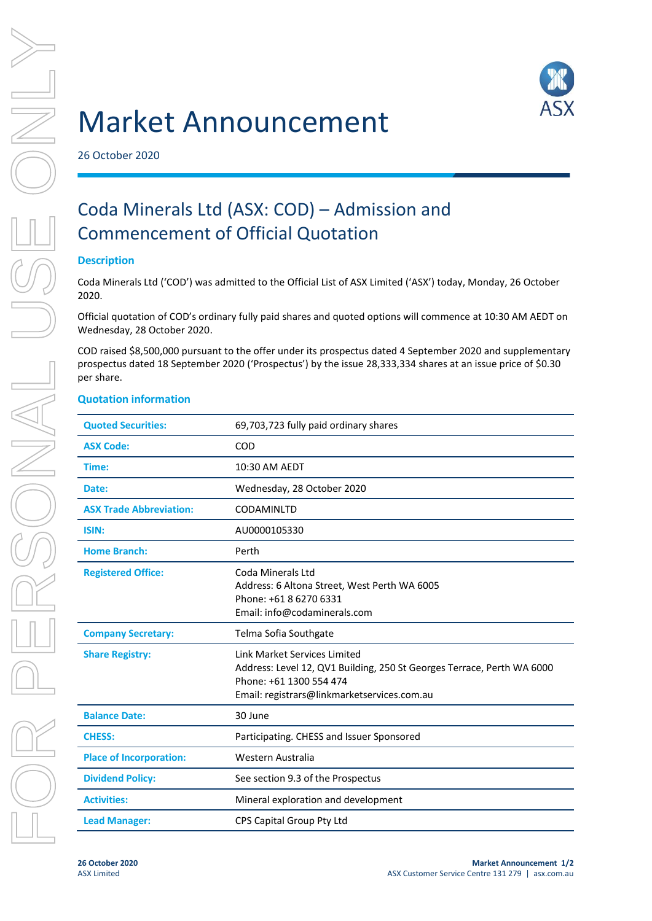

# Market Announcement

26 October 2020

# Coda Minerals Ltd (ASX: COD) – Admission and Commencement of Official Quotation

# **Description**

Coda Minerals Ltd ('COD') was admitted to the Official List of ASX Limited ('ASX') today, Monday, 26 October 2020.

Official quotation of COD's ordinary fully paid shares and quoted options will commence at 10:30 AM AEDT on Wednesday, 28 October 2020.

COD raised \$8,500,000 pursuant to the offer under its prospectus dated 4 September 2020 and supplementary prospectus dated 18 September 2020 ('Prospectus') by the issue 28,333,334 shares at an issue price of \$0.30 per share.

# **Quotation information**

| <b>Quoted Securities:</b>      | 69,703,723 fully paid ordinary shares                                                                                                                                            |
|--------------------------------|----------------------------------------------------------------------------------------------------------------------------------------------------------------------------------|
| <b>ASX Code:</b>               | COD                                                                                                                                                                              |
| Time:                          | 10:30 AM AEDT                                                                                                                                                                    |
| Date:                          | Wednesday, 28 October 2020                                                                                                                                                       |
| <b>ASX Trade Abbreviation:</b> | <b>CODAMINLTD</b>                                                                                                                                                                |
| ISIN:                          | AU0000105330                                                                                                                                                                     |
| <b>Home Branch:</b>            | Perth                                                                                                                                                                            |
| <b>Registered Office:</b>      | Coda Minerals Ltd<br>Address: 6 Altona Street, West Perth WA 6005<br>Phone: +61 8 6270 6331<br>Email: info@codaminerals.com                                                      |
|                                |                                                                                                                                                                                  |
| <b>Company Secretary:</b>      | Telma Sofia Southgate                                                                                                                                                            |
| <b>Share Registry:</b>         | Link Market Services Limited<br>Address: Level 12, QV1 Building, 250 St Georges Terrace, Perth WA 6000<br>Phone: +61 1300 554 474<br>Email: registrars@linkmarketservices.com.au |
| <b>Balance Date:</b>           | 30 June                                                                                                                                                                          |
| <b>CHESS:</b>                  | Participating. CHESS and Issuer Sponsored                                                                                                                                        |
| <b>Place of Incorporation:</b> | Western Australia                                                                                                                                                                |
| <b>Dividend Policy:</b>        | See section 9.3 of the Prospectus                                                                                                                                                |
| <b>Activities:</b>             | Mineral exploration and development                                                                                                                                              |